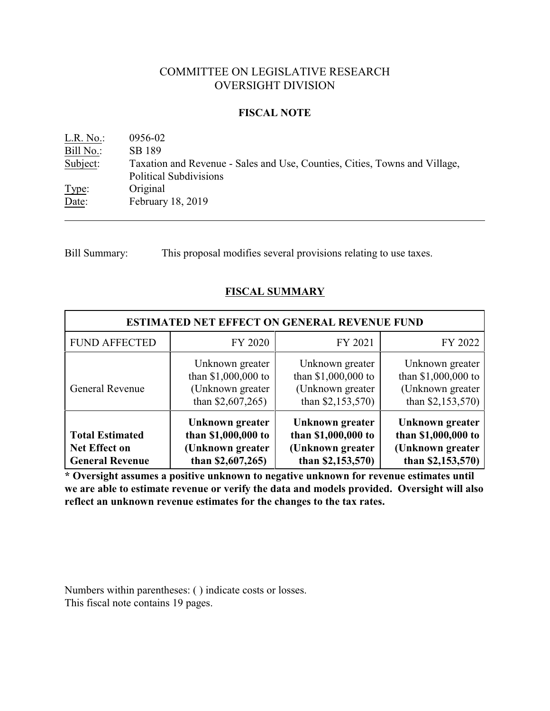# COMMITTEE ON LEGISLATIVE RESEARCH OVERSIGHT DIVISION

## **FISCAL NOTE**

L.R. No.: 0956-02 Bill No.: SB 189 Subject: Taxation and Revenue - Sales and Use, Counties, Cities, Towns and Village, Political Subdivisions Type: Original Date: February 18, 2019

Bill Summary: This proposal modifies several provisions relating to use taxes.

# **FISCAL SUMMARY**

| <b>ESTIMATED NET EFFECT ON GENERAL REVENUE FUND</b>                      |                                                                                 |                                                                                  |                                                                                 |  |  |
|--------------------------------------------------------------------------|---------------------------------------------------------------------------------|----------------------------------------------------------------------------------|---------------------------------------------------------------------------------|--|--|
| <b>FUND AFFECTED</b>                                                     | FY 2020                                                                         | FY 2021                                                                          | FY 2022                                                                         |  |  |
| General Revenue                                                          | Unknown greater<br>than \$1,000,000 to<br>(Unknown greater<br>than $$2,607,265$ | Unknown greater<br>than \$1,000,000 to<br>(Unknown greater)<br>than \$2,153,570) | Unknown greater<br>than \$1,000,000 to<br>(Unknown greater<br>than $$2,153,570$ |  |  |
| <b>Total Estimated</b><br><b>Net Effect on</b><br><b>General Revenue</b> | Unknown greater<br>than \$1,000,000 to<br>(Unknown greater<br>than $$2,607,265$ | Unknown greater<br>than \$1,000,000 to<br>(Unknown greater<br>than $$2,153,570$  | Unknown greater<br>than \$1,000,000 to<br>(Unknown greater<br>than $$2,153,570$ |  |  |

**\* Oversight assumes a positive unknown to negative unknown for revenue estimates until we are able to estimate revenue or verify the data and models provided. Oversight will also reflect an unknown revenue estimates for the changes to the tax rates.**

Numbers within parentheses: ( ) indicate costs or losses. This fiscal note contains 19 pages.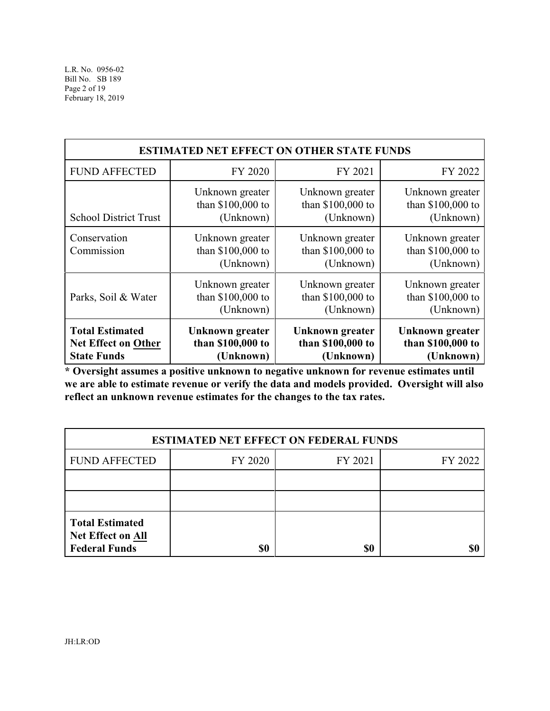| <b>ESTIMATED NET EFFECT ON OTHER STATE FUNDS</b> |                                                   |                                                   |                                                   |  |  |
|--------------------------------------------------|---------------------------------------------------|---------------------------------------------------|---------------------------------------------------|--|--|
| <b>FUND AFFECTED</b>                             | FY 2020                                           | FY 2021                                           | FY 2022                                           |  |  |
| <b>School District Trust</b>                     | Unknown greater                                   | Unknown greater                                   | Unknown greater                                   |  |  |
|                                                  | than \$100,000 to                                 | than \$100,000 to                                 | than \$100,000 to                                 |  |  |
|                                                  | (Unknown)                                         | (Unknown)                                         | (Unknown)                                         |  |  |
| Conservation<br>Commission                       | Unknown greater<br>than \$100,000 to<br>(Unknown) | Unknown greater<br>than \$100,000 to<br>(Unknown) | Unknown greater<br>than \$100,000 to<br>(Unknown) |  |  |
| Parks, Soil & Water                              | Unknown greater                                   | Unknown greater                                   | Unknown greater                                   |  |  |
|                                                  | than \$100,000 to                                 | than \$100,000 to                                 | than \$100,000 to                                 |  |  |
|                                                  | (Unknown)                                         | (Unknown)                                         | (Unknown)                                         |  |  |
| <b>Total Estimated</b>                           | Unknown greater                                   | Unknown greater                                   | Unknown greater                                   |  |  |
| Net Effect on Other                              | than \$100,000 to                                 | than \$100,000 to                                 | than \$100,000 to                                 |  |  |
| <b>State Funds</b>                               | (Unknown)                                         | (Unknown)                                         | (Unknown)                                         |  |  |

**\* Oversight assumes a positive unknown to negative unknown for revenue estimates until we are able to estimate revenue or verify the data and models provided. Oversight will also reflect an unknown revenue estimates for the changes to the tax rates.**

| <b>ESTIMATED NET EFFECT ON FEDERAL FUNDS</b>                               |         |         |         |  |  |
|----------------------------------------------------------------------------|---------|---------|---------|--|--|
| <b>FUND AFFECTED</b>                                                       | FY 2020 | FY 2021 | FY 2022 |  |  |
|                                                                            |         |         |         |  |  |
|                                                                            |         |         |         |  |  |
| <b>Total Estimated</b><br><b>Net Effect on All</b><br><b>Federal Funds</b> | \$0     | \$0     |         |  |  |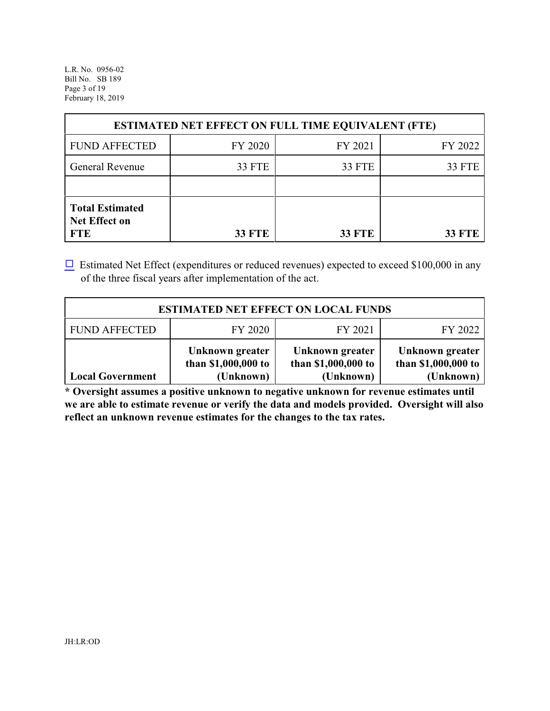L.R. No. 0956-02 Bill No. SB 189 Page 3 of 19 February 18, 2019

| <b>ESTIMATED NET EFFECT ON FULL TIME EQUIVALENT (FTE)</b>    |               |               |               |  |  |
|--------------------------------------------------------------|---------------|---------------|---------------|--|--|
| <b>FUND AFFECTED</b>                                         | FY 2020       | FY 2021       | FY 2022       |  |  |
| General Revenue                                              | <b>33 FTE</b> | 33 FTE        | <b>33 FTE</b> |  |  |
|                                                              |               |               |               |  |  |
| <b>Total Estimated</b><br><b>Net Effect on</b><br><b>FTE</b> | <b>33 FTE</b> | <b>33 FTE</b> | <b>33 FTE</b> |  |  |

 $\Box$  Estimated Net Effect (expenditures or reduced revenues) expected to exceed \$100,000 in any of the three fiscal years after implementation of the act.

| <b>ESTIMATED NET EFFECT ON LOCAL FUNDS</b> |                                                     |                                                     |                                                     |  |  |
|--------------------------------------------|-----------------------------------------------------|-----------------------------------------------------|-----------------------------------------------------|--|--|
| <b>FUND AFFECTED</b>                       | FY 2020                                             | FY 2021                                             | FY 2022                                             |  |  |
| <b>Local Government</b>                    | Unknown greater<br>than \$1,000,000 to<br>(Unknown) | Unknown greater<br>than \$1,000,000 to<br>(Unknown) | Unknown greater<br>than \$1,000,000 to<br>(Unknown) |  |  |

**\* Oversight assumes a positive unknown to negative unknown for revenue estimates until we are able to estimate revenue or verify the data and models provided. Oversight will also reflect an unknown revenue estimates for the changes to the tax rates.**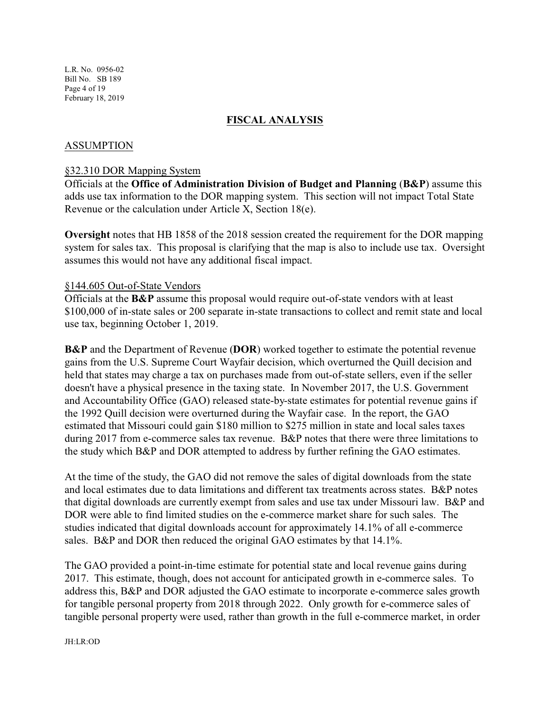# **FISCAL ANALYSIS**

## ASSUMPTION

#### §32.310 DOR Mapping System

Officials at the **Office of Administration Division of Budget and Planning** (**B&P**) assume this adds use tax information to the DOR mapping system. This section will not impact Total State Revenue or the calculation under Article X, Section 18(e).

**Oversight** notes that HB 1858 of the 2018 session created the requirement for the DOR mapping system for sales tax. This proposal is clarifying that the map is also to include use tax. Oversight assumes this would not have any additional fiscal impact.

#### §144.605 Out-of-State Vendors

Officials at the **B&P** assume this proposal would require out-of-state vendors with at least \$100,000 of in-state sales or 200 separate in-state transactions to collect and remit state and local use tax, beginning October 1, 2019.

**B&P** and the Department of Revenue (**DOR**) worked together to estimate the potential revenue gains from the U.S. Supreme Court Wayfair decision, which overturned the Quill decision and held that states may charge a tax on purchases made from out-of-state sellers, even if the seller doesn't have a physical presence in the taxing state. In November 2017, the U.S. Government and Accountability Office (GAO) released state-by-state estimates for potential revenue gains if the 1992 Quill decision were overturned during the Wayfair case. In the report, the GAO estimated that Missouri could gain \$180 million to \$275 million in state and local sales taxes during 2017 from e-commerce sales tax revenue. B&P notes that there were three limitations to the study which B&P and DOR attempted to address by further refining the GAO estimates.

At the time of the study, the GAO did not remove the sales of digital downloads from the state and local estimates due to data limitations and different tax treatments across states. B&P notes that digital downloads are currently exempt from sales and use tax under Missouri law. B&P and DOR were able to find limited studies on the e-commerce market share for such sales. The studies indicated that digital downloads account for approximately 14.1% of all e-commerce sales. B&P and DOR then reduced the original GAO estimates by that 14.1%.

The GAO provided a point-in-time estimate for potential state and local revenue gains during 2017. This estimate, though, does not account for anticipated growth in e-commerce sales. To address this, B&P and DOR adjusted the GAO estimate to incorporate e-commerce sales growth for tangible personal property from 2018 through 2022. Only growth for e-commerce sales of tangible personal property were used, rather than growth in the full e-commerce market, in order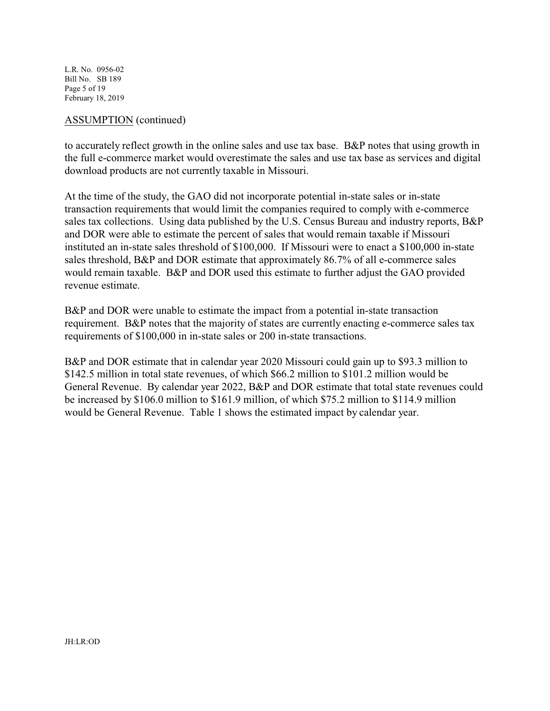L.R. No. 0956-02 Bill No. SB 189 Page 5 of 19 February 18, 2019

#### ASSUMPTION (continued)

to accurately reflect growth in the online sales and use tax base. B&P notes that using growth in the full e-commerce market would overestimate the sales and use tax base as services and digital download products are not currently taxable in Missouri.

At the time of the study, the GAO did not incorporate potential in-state sales or in-state transaction requirements that would limit the companies required to comply with e-commerce sales tax collections. Using data published by the U.S. Census Bureau and industry reports, B&P and DOR were able to estimate the percent of sales that would remain taxable if Missouri instituted an in-state sales threshold of \$100,000. If Missouri were to enact a \$100,000 in-state sales threshold, B&P and DOR estimate that approximately 86.7% of all e-commerce sales would remain taxable. B&P and DOR used this estimate to further adjust the GAO provided revenue estimate.

B&P and DOR were unable to estimate the impact from a potential in-state transaction requirement. B&P notes that the majority of states are currently enacting e-commerce sales tax requirements of \$100,000 in in-state sales or 200 in-state transactions.

B&P and DOR estimate that in calendar year 2020 Missouri could gain up to \$93.3 million to \$142.5 million in total state revenues, of which \$66.2 million to \$101.2 million would be General Revenue. By calendar year 2022, B&P and DOR estimate that total state revenues could be increased by \$106.0 million to \$161.9 million, of which \$75.2 million to \$114.9 million would be General Revenue. Table 1 shows the estimated impact by calendar year.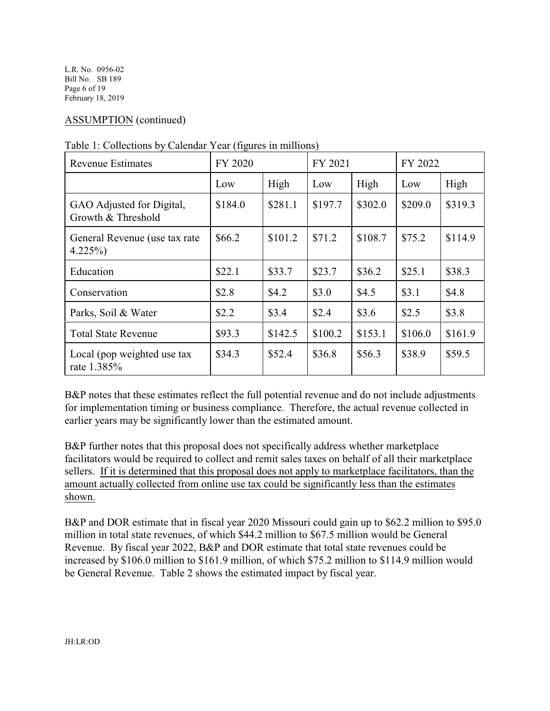L.R. No. 0956-02 Bill No. SB 189 Page 6 of 19 February 18, 2019

# ASSUMPTION (continued)

| <b>Revenue Estimates</b>                        | FY 2020 |         | FY 2021 |         | FY 2022 |         |
|-------------------------------------------------|---------|---------|---------|---------|---------|---------|
|                                                 | Low     | High    | Low     | High    | Low     | High    |
| GAO Adjusted for Digital,<br>Growth & Threshold | \$184.0 | \$281.1 | \$197.7 | \$302.0 | \$209.0 | \$319.3 |
| General Revenue (use tax rate<br>$4.225\%$      | \$66.2  | \$101.2 | \$71.2  | \$108.7 | \$75.2  | \$114.9 |
| Education                                       | \$22.1  | \$33.7  | \$23.7  | \$36.2  | \$25.1  | \$38.3  |
| Conservation                                    | \$2.8   | \$4.2   | \$3.0   | \$4.5   | \$3.1   | \$4.8   |
| Parks, Soil & Water                             | \$2.2   | \$3.4   | \$2.4   | \$3.6   | \$2.5   | \$3.8   |
| <b>Total State Revenue</b>                      | \$93.3  | \$142.5 | \$100.2 | \$153.1 | \$106.0 | \$161.9 |
| Local (pop weighted use tax<br>rate 1.385%      | \$34.3  | \$52.4  | \$36.8  | \$56.3  | \$38.9  | \$59.5  |

|  | Table 1: Collections by Calendar Year (figures in millions) |  |
|--|-------------------------------------------------------------|--|
|  |                                                             |  |

B&P notes that these estimates reflect the full potential revenue and do not include adjustments for implementation timing or business compliance. Therefore, the actual revenue collected in earlier years may be significantly lower than the estimated amount.

B&P further notes that this proposal does not specifically address whether marketplace facilitators would be required to collect and remit sales taxes on behalf of all their marketplace sellers. If it is determined that this proposal does not apply to marketplace facilitators, than the amount actually collected from online use tax could be significantly less than the estimates shown.

B&P and DOR estimate that in fiscal year 2020 Missouri could gain up to \$62.2 million to \$95.0 million in total state revenues, of which \$44.2 million to \$67.5 million would be General Revenue. By fiscal year 2022, B&P and DOR estimate that total state revenues could be increased by \$106.0 million to \$161.9 million, of which \$75.2 million to \$114.9 million would be General Revenue. Table 2 shows the estimated impact by fiscal year.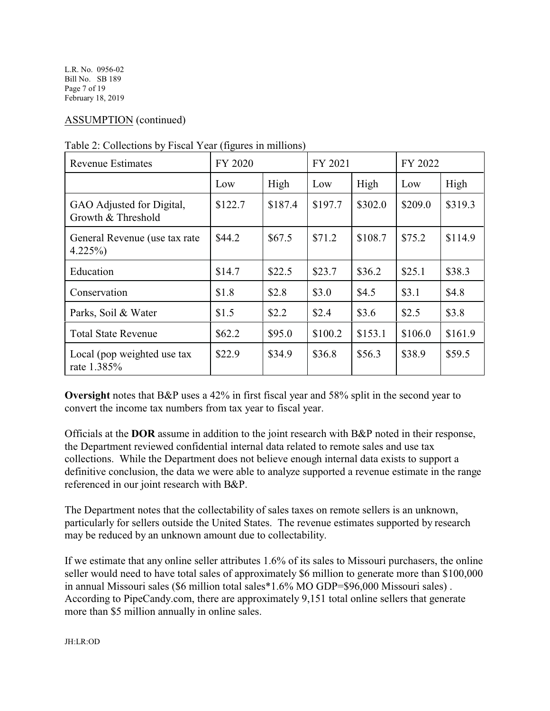L.R. No. 0956-02 Bill No. SB 189 Page 7 of 19 February 18, 2019

# ASSUMPTION (continued)

| <b>Revenue Estimates</b>                        | FY 2020  |         | FY 2021 |         | FY 2022 |         |
|-------------------------------------------------|----------|---------|---------|---------|---------|---------|
|                                                 | Low      | High    | Low     | High    | Low     | High    |
| GAO Adjusted for Digital,<br>Growth & Threshold | \$122.7  | \$187.4 | \$197.7 | \$302.0 | \$209.0 | \$319.3 |
| General Revenue (use tax rate<br>$4.225\%$      | \$44.2   | \$67.5  | \$71.2  | \$108.7 | \$75.2  | \$114.9 |
| Education                                       | \$14.7   | \$22.5  | \$23.7  | \$36.2  | \$25.1  | \$38.3  |
| Conservation                                    | \$1.8    | \$2.8   | \$3.0   | \$4.5   | \$3.1   | \$4.8   |
| Parks, Soil & Water                             | \$1.5    | \$2.2   | \$2.4   | \$3.6   | \$2.5   | \$3.8   |
| <b>Total State Revenue</b>                      | \$62.2\$ | \$95.0  | \$100.2 | \$153.1 | \$106.0 | \$161.9 |
| Local (pop weighted use tax<br>rate 1.385%      | \$22.9   | \$34.9  | \$36.8  | \$56.3  | \$38.9  | \$59.5  |

Table 2: Collections by Fiscal Year (figures in millions)

**Oversight** notes that B&P uses a 42% in first fiscal year and 58% split in the second year to convert the income tax numbers from tax year to fiscal year.

Officials at the **DOR** assume in addition to the joint research with B&P noted in their response, the Department reviewed confidential internal data related to remote sales and use tax collections. While the Department does not believe enough internal data exists to support a definitive conclusion, the data we were able to analyze supported a revenue estimate in the range referenced in our joint research with B&P.

The Department notes that the collectability of sales taxes on remote sellers is an unknown, particularly for sellers outside the United States. The revenue estimates supported by research may be reduced by an unknown amount due to collectability.

If we estimate that any online seller attributes 1.6% of its sales to Missouri purchasers, the online seller would need to have total sales of approximately \$6 million to generate more than \$100,000 in annual Missouri sales (\$6 million total sales\*1.6% MO GDP=\$96,000 Missouri sales) . According to PipeCandy.com, there are approximately 9,151 total online sellers that generate more than \$5 million annually in online sales.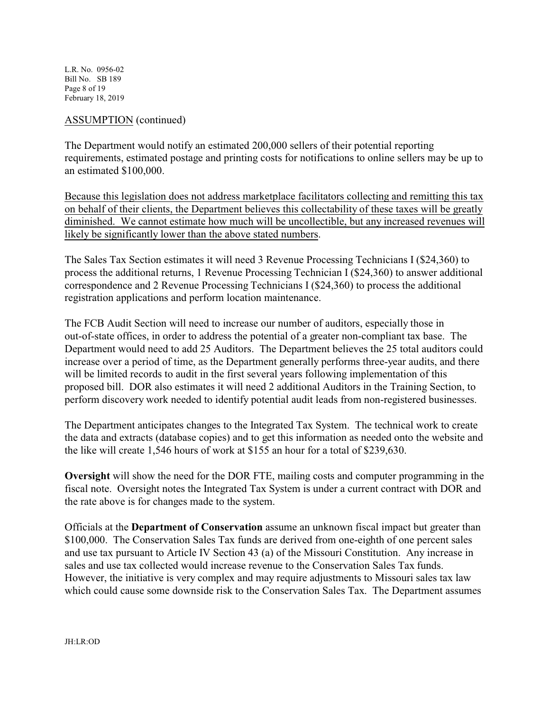L.R. No. 0956-02 Bill No. SB 189 Page 8 of 19 February 18, 2019

ASSUMPTION (continued)

The Department would notify an estimated 200,000 sellers of their potential reporting requirements, estimated postage and printing costs for notifications to online sellers may be up to an estimated \$100,000.

Because this legislation does not address marketplace facilitators collecting and remitting this tax on behalf of their clients, the Department believes this collectability of these taxes will be greatly diminished. We cannot estimate how much will be uncollectible, but any increased revenues will likely be significantly lower than the above stated numbers.

The Sales Tax Section estimates it will need 3 Revenue Processing Technicians I (\$24,360) to process the additional returns, 1 Revenue Processing Technician I (\$24,360) to answer additional correspondence and 2 Revenue Processing Technicians I (\$24,360) to process the additional registration applications and perform location maintenance.

The FCB Audit Section will need to increase our number of auditors, especially those in out-of-state offices, in order to address the potential of a greater non-compliant tax base. The Department would need to add 25 Auditors. The Department believes the 25 total auditors could increase over a period of time, as the Department generally performs three-year audits, and there will be limited records to audit in the first several years following implementation of this proposed bill. DOR also estimates it will need 2 additional Auditors in the Training Section, to perform discovery work needed to identify potential audit leads from non-registered businesses.

The Department anticipates changes to the Integrated Tax System. The technical work to create the data and extracts (database copies) and to get this information as needed onto the website and the like will create 1,546 hours of work at \$155 an hour for a total of \$239,630.

**Oversight** will show the need for the DOR FTE, mailing costs and computer programming in the fiscal note. Oversight notes the Integrated Tax System is under a current contract with DOR and the rate above is for changes made to the system.

Officials at the **Department of Conservation** assume an unknown fiscal impact but greater than \$100,000. The Conservation Sales Tax funds are derived from one-eighth of one percent sales and use tax pursuant to Article IV Section 43 (a) of the Missouri Constitution. Any increase in sales and use tax collected would increase revenue to the Conservation Sales Tax funds. However, the initiative is very complex and may require adjustments to Missouri sales tax law which could cause some downside risk to the Conservation Sales Tax. The Department assumes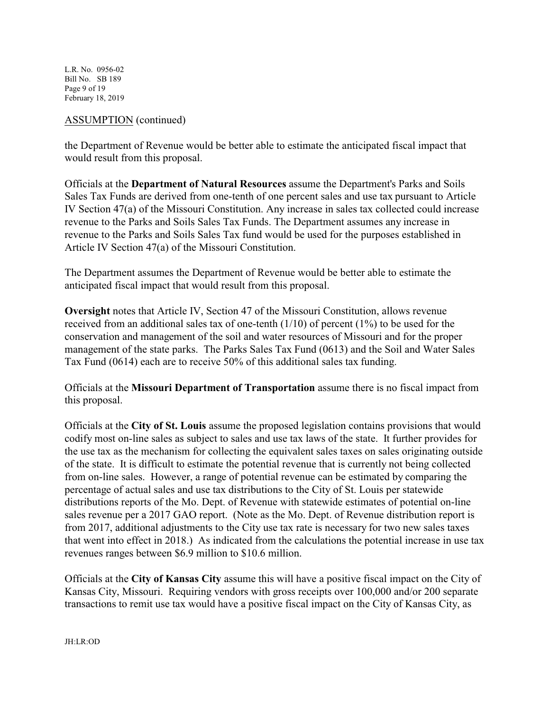L.R. No. 0956-02 Bill No. SB 189 Page 9 of 19 February 18, 2019

### ASSUMPTION (continued)

the Department of Revenue would be better able to estimate the anticipated fiscal impact that would result from this proposal.

Officials at the **Department of Natural Resources** assume the Department's Parks and Soils Sales Tax Funds are derived from one-tenth of one percent sales and use tax pursuant to Article IV Section 47(a) of the Missouri Constitution. Any increase in sales tax collected could increase revenue to the Parks and Soils Sales Tax Funds. The Department assumes any increase in revenue to the Parks and Soils Sales Tax fund would be used for the purposes established in Article IV Section 47(a) of the Missouri Constitution.

The Department assumes the Department of Revenue would be better able to estimate the anticipated fiscal impact that would result from this proposal.

**Oversight** notes that Article IV, Section 47 of the Missouri Constitution, allows revenue received from an additional sales tax of one-tenth (1/10) of percent (1%) to be used for the conservation and management of the soil and water resources of Missouri and for the proper management of the state parks. The Parks Sales Tax Fund (0613) and the Soil and Water Sales Tax Fund (0614) each are to receive 50% of this additional sales tax funding.

Officials at the **Missouri Department of Transportation** assume there is no fiscal impact from this proposal.

Officials at the **City of St. Louis** assume the proposed legislation contains provisions that would codify most on-line sales as subject to sales and use tax laws of the state. It further provides for the use tax as the mechanism for collecting the equivalent sales taxes on sales originating outside of the state. It is difficult to estimate the potential revenue that is currently not being collected from on-line sales. However, a range of potential revenue can be estimated by comparing the percentage of actual sales and use tax distributions to the City of St. Louis per statewide distributions reports of the Mo. Dept. of Revenue with statewide estimates of potential on-line sales revenue per a 2017 GAO report. (Note as the Mo. Dept. of Revenue distribution report is from 2017, additional adjustments to the City use tax rate is necessary for two new sales taxes that went into effect in 2018.) As indicated from the calculations the potential increase in use tax revenues ranges between \$6.9 million to \$10.6 million.

Officials at the **City of Kansas City** assume this will have a positive fiscal impact on the City of Kansas City, Missouri. Requiring vendors with gross receipts over 100,000 and/or 200 separate transactions to remit use tax would have a positive fiscal impact on the City of Kansas City, as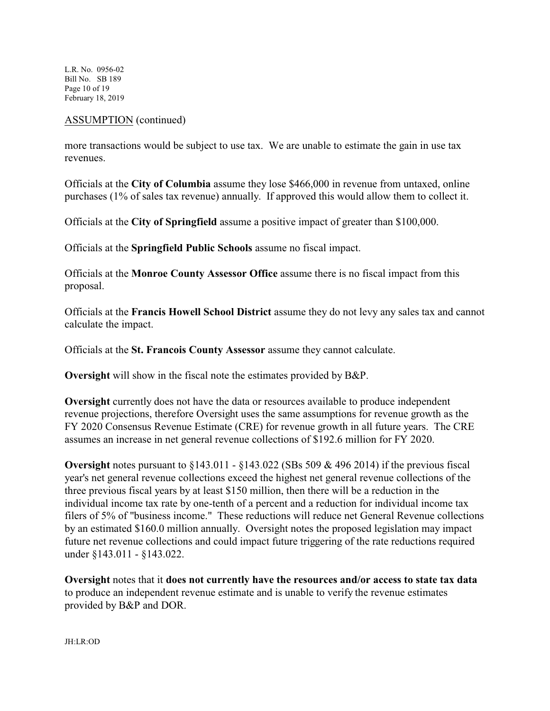L.R. No. 0956-02 Bill No. SB 189 Page 10 of 19 February 18, 2019

#### ASSUMPTION (continued)

more transactions would be subject to use tax. We are unable to estimate the gain in use tax revenues.

Officials at the **City of Columbia** assume they lose \$466,000 in revenue from untaxed, online purchases (1% of sales tax revenue) annually. If approved this would allow them to collect it.

Officials at the **City of Springfield** assume a positive impact of greater than \$100,000.

Officials at the **Springfield Public Schools** assume no fiscal impact.

Officials at the **Monroe County Assessor Office** assume there is no fiscal impact from this proposal.

Officials at the **Francis Howell School District** assume they do not levy any sales tax and cannot calculate the impact.

Officials at the **St. Francois County Assessor** assume they cannot calculate.

**Oversight** will show in the fiscal note the estimates provided by B&P.

**Oversight** currently does not have the data or resources available to produce independent revenue projections, therefore Oversight uses the same assumptions for revenue growth as the FY 2020 Consensus Revenue Estimate (CRE) for revenue growth in all future years. The CRE assumes an increase in net general revenue collections of \$192.6 million for FY 2020.

**Oversight** notes pursuant to §143.011 - §143.022 (SBs 509 & 496 2014) if the previous fiscal year's net general revenue collections exceed the highest net general revenue collections of the three previous fiscal years by at least \$150 million, then there will be a reduction in the individual income tax rate by one-tenth of a percent and a reduction for individual income tax filers of 5% of "business income." These reductions will reduce net General Revenue collections by an estimated \$160.0 million annually. Oversight notes the proposed legislation may impact future net revenue collections and could impact future triggering of the rate reductions required under §143.011 - §143.022.

**Oversight** notes that it **does not currently have the resources and/or access to state tax data** to produce an independent revenue estimate and is unable to verify the revenue estimates provided by B&P and DOR.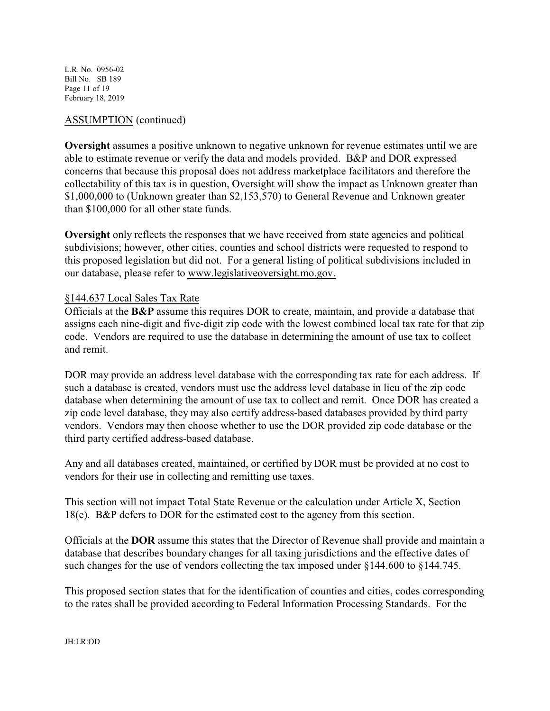L.R. No. 0956-02 Bill No. SB 189 Page 11 of 19 February 18, 2019

### ASSUMPTION (continued)

**Oversight** assumes a positive unknown to negative unknown for revenue estimates until we are able to estimate revenue or verify the data and models provided. B&P and DOR expressed concerns that because this proposal does not address marketplace facilitators and therefore the collectability of this tax is in question, Oversight will show the impact as Unknown greater than \$1,000,000 to (Unknown greater than \$2,153,570) to General Revenue and Unknown greater than \$100,000 for all other state funds.

**Oversight** only reflects the responses that we have received from state agencies and political subdivisions; however, other cities, counties and school districts were requested to respond to this proposed legislation but did not. For a general listing of political subdivisions included in our database, please refer to www.legislativeoversight.mo.gov.

#### §144.637 Local Sales Tax Rate

Officials at the **B&P** assume this requires DOR to create, maintain, and provide a database that assigns each nine-digit and five-digit zip code with the lowest combined local tax rate for that zip code. Vendors are required to use the database in determining the amount of use tax to collect and remit.

DOR may provide an address level database with the corresponding tax rate for each address. If such a database is created, vendors must use the address level database in lieu of the zip code database when determining the amount of use tax to collect and remit. Once DOR has created a zip code level database, they may also certify address-based databases provided by third party vendors. Vendors may then choose whether to use the DOR provided zip code database or the third party certified address-based database.

Any and all databases created, maintained, or certified by DOR must be provided at no cost to vendors for their use in collecting and remitting use taxes.

This section will not impact Total State Revenue or the calculation under Article X, Section 18(e). B&P defers to DOR for the estimated cost to the agency from this section.

Officials at the **DOR** assume this states that the Director of Revenue shall provide and maintain a database that describes boundary changes for all taxing jurisdictions and the effective dates of such changes for the use of vendors collecting the tax imposed under §144.600 to §144.745.

This proposed section states that for the identification of counties and cities, codes corresponding to the rates shall be provided according to Federal Information Processing Standards. For the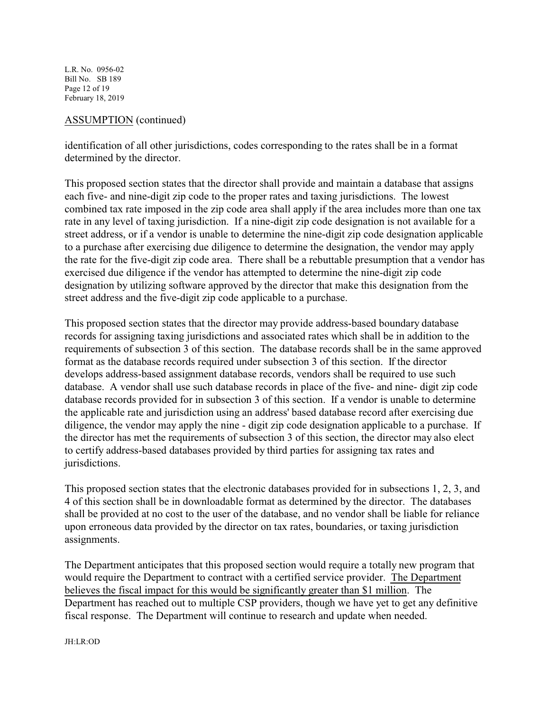L.R. No. 0956-02 Bill No. SB 189 Page 12 of 19 February 18, 2019

#### ASSUMPTION (continued)

identification of all other jurisdictions, codes corresponding to the rates shall be in a format determined by the director.

This proposed section states that the director shall provide and maintain a database that assigns each five- and nine-digit zip code to the proper rates and taxing jurisdictions. The lowest combined tax rate imposed in the zip code area shall apply if the area includes more than one tax rate in any level of taxing jurisdiction. If a nine-digit zip code designation is not available for a street address, or if a vendor is unable to determine the nine-digit zip code designation applicable to a purchase after exercising due diligence to determine the designation, the vendor may apply the rate for the five-digit zip code area. There shall be a rebuttable presumption that a vendor has exercised due diligence if the vendor has attempted to determine the nine-digit zip code designation by utilizing software approved by the director that make this designation from the street address and the five-digit zip code applicable to a purchase.

This proposed section states that the director may provide address-based boundary database records for assigning taxing jurisdictions and associated rates which shall be in addition to the requirements of subsection 3 of this section. The database records shall be in the same approved format as the database records required under subsection 3 of this section. If the director develops address-based assignment database records, vendors shall be required to use such database. A vendor shall use such database records in place of the five- and nine- digit zip code database records provided for in subsection 3 of this section. If a vendor is unable to determine the applicable rate and jurisdiction using an address' based database record after exercising due diligence, the vendor may apply the nine - digit zip code designation applicable to a purchase. If the director has met the requirements of subsection 3 of this section, the director may also elect to certify address-based databases provided by third parties for assigning tax rates and jurisdictions.

This proposed section states that the electronic databases provided for in subsections 1, 2, 3, and 4 of this section shall be in downloadable format as determined by the director. The databases shall be provided at no cost to the user of the database, and no vendor shall be liable for reliance upon erroneous data provided by the director on tax rates, boundaries, or taxing jurisdiction assignments.

The Department anticipates that this proposed section would require a totally new program that would require the Department to contract with a certified service provider. The Department believes the fiscal impact for this would be significantly greater than \$1 million. The Department has reached out to multiple CSP providers, though we have yet to get any definitive fiscal response. The Department will continue to research and update when needed.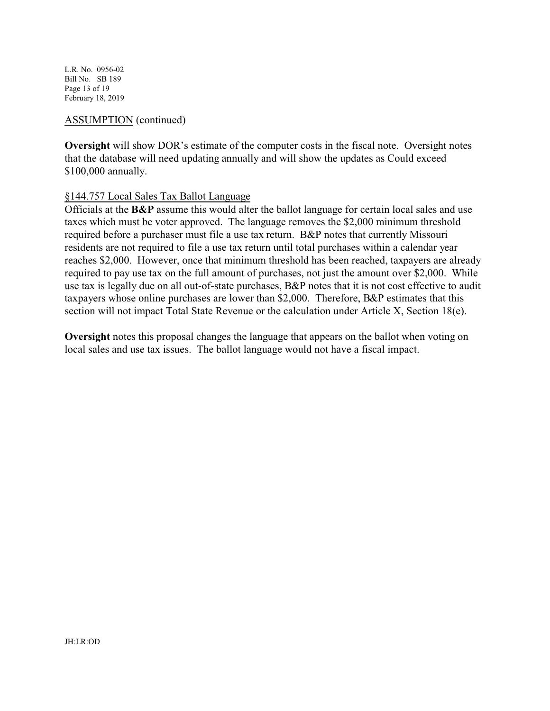L.R. No. 0956-02 Bill No. SB 189 Page 13 of 19 February 18, 2019

#### ASSUMPTION (continued)

**Oversight** will show DOR's estimate of the computer costs in the fiscal note. Oversight notes that the database will need updating annually and will show the updates as Could exceed \$100,000 annually.

#### §144.757 Local Sales Tax Ballot Language

Officials at the **B&P** assume this would alter the ballot language for certain local sales and use taxes which must be voter approved. The language removes the \$2,000 minimum threshold required before a purchaser must file a use tax return. B&P notes that currently Missouri residents are not required to file a use tax return until total purchases within a calendar year reaches \$2,000. However, once that minimum threshold has been reached, taxpayers are already required to pay use tax on the full amount of purchases, not just the amount over \$2,000. While use tax is legally due on all out-of-state purchases, B&P notes that it is not cost effective to audit taxpayers whose online purchases are lower than \$2,000. Therefore, B&P estimates that this section will not impact Total State Revenue or the calculation under Article X, Section 18(e).

**Oversight** notes this proposal changes the language that appears on the ballot when voting on local sales and use tax issues. The ballot language would not have a fiscal impact.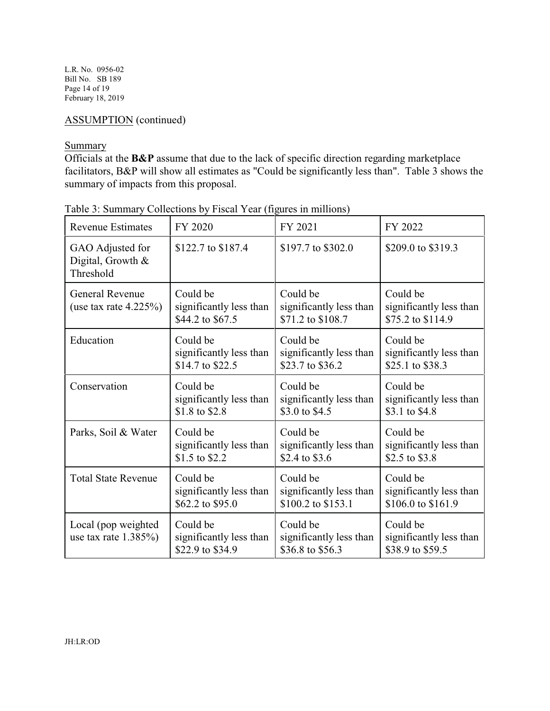L.R. No. 0956-02 Bill No. SB 189 Page 14 of 19 February 18, 2019

# ASSUMPTION (continued)

# **Summary**

Officials at the **B&P** assume that due to the lack of specific direction regarding marketplace facilitators, B&P will show all estimates as "Could be significantly less than". Table 3 shows the summary of impacts from this proposal.

| <b>Revenue Estimates</b>                            | FY 2020                                                 | FY 2021                                                  | FY 2022                                                  |
|-----------------------------------------------------|---------------------------------------------------------|----------------------------------------------------------|----------------------------------------------------------|
| GAO Adjusted for<br>Digital, Growth &<br>Threshold  | \$122.7 to \$187.4                                      | \$197.7 to \$302.0                                       | \$209.0 to \$319.3                                       |
| <b>General Revenue</b><br>(use tax rate $4.225\%$ ) | Could be<br>significantly less than<br>\$44.2 to \$67.5 | Could be<br>significantly less than<br>\$71.2 to \$108.7 | Could be<br>significantly less than<br>\$75.2 to \$114.9 |
| Education                                           | Could be                                                | Could be                                                 | Could be                                                 |
|                                                     | significantly less than                                 | significantly less than                                  | significantly less than                                  |
|                                                     | \$14.7 to \$22.5                                        | \$23.7 to \$36.2                                         | \$25.1 to \$38.3                                         |
| Conservation                                        | Could be                                                | Could be                                                 | Could be                                                 |
|                                                     | significantly less than                                 | significantly less than                                  | significantly less than                                  |
|                                                     | \$1.8 to \$2.8                                          | \$3.0 to \$4.5                                           | \$3.1 to \$4.8                                           |
| Parks, Soil & Water                                 | Could be                                                | Could be                                                 | Could be                                                 |
|                                                     | significantly less than                                 | significantly less than                                  | significantly less than                                  |
|                                                     | \$1.5 to \$2.2                                          | \$2.4 to \$3.6                                           | \$2.5 to \$3.8                                           |
| <b>Total State Revenue</b>                          | Could be                                                | Could be                                                 | Could be                                                 |
|                                                     | significantly less than                                 | significantly less than                                  | significantly less than                                  |
|                                                     | \$62.2 to \$95.0                                        | \$100.2 to \$153.1                                       | \$106.0 to \$161.9                                       |
| Local (pop weighted<br>use tax rate $1.385\%$       | Could be<br>significantly less than<br>\$22.9 to \$34.9 | Could be<br>significantly less than<br>\$36.8 to \$56.3  | Could be<br>significantly less than<br>\$38.9 to \$59.5  |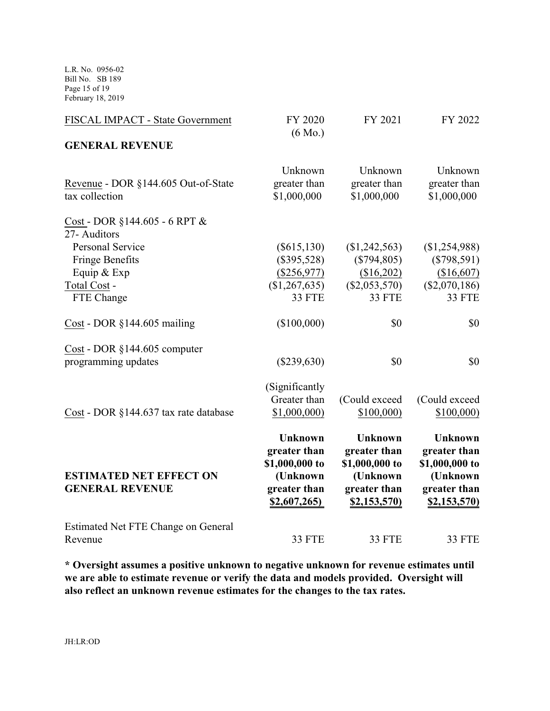L.R. No. 0956-02 Bill No. SB 189 Page 15 of 19 February 18, 2019

| FISCAL IMPACT - State Government                                 | FY 2020<br>$(6 \text{ Mo.})$                                                                | FY 2021                                                                                     | FY 2022                                                                                     |
|------------------------------------------------------------------|---------------------------------------------------------------------------------------------|---------------------------------------------------------------------------------------------|---------------------------------------------------------------------------------------------|
| <b>GENERAL REVENUE</b>                                           |                                                                                             |                                                                                             |                                                                                             |
| Revenue - DOR §144.605 Out-of-State<br>tax collection            | Unknown<br>greater than<br>\$1,000,000                                                      | Unknown<br>greater than<br>\$1,000,000                                                      | Unknown<br>greater than<br>\$1,000,000                                                      |
| Cost - DOR $§144.605 - 6$ RPT &<br>27- Auditors                  |                                                                                             |                                                                                             |                                                                                             |
| <b>Personal Service</b><br><b>Fringe Benefits</b><br>Equip & Exp | $(\$615,130)$<br>$(\$395,528)$<br>$(\$256,977)$                                             | $(\$1,242,563)$<br>$(\$794,805)$<br>(\$16,202)                                              | (\$1,254,988)<br>$(\$798,591)$<br>(\$16,607)                                                |
| Total Cost -<br>FTE Change                                       | (\$1,267,635)<br><b>33 FTE</b>                                                              | $(\$2,053,570)$<br>33 FTE                                                                   | $(\$2,070,186)$<br>33 FTE                                                                   |
| Cost - DOR $§144.605$ mailing                                    | (\$100,000)                                                                                 | \$0                                                                                         | \$0                                                                                         |
| Cost - DOR §144.605 computer<br>programming updates              | $(\$239,630)$                                                                               | \$0                                                                                         | \$0                                                                                         |
| Cost - DOR §144.637 tax rate database                            | (Significantly<br>Greater than<br>\$1,000,000                                               | (Could exceed<br>\$100,000                                                                  | (Could exceed<br>\$100,000                                                                  |
| <b>ESTIMATED NET EFFECT ON</b><br><b>GENERAL REVENUE</b>         | <b>Unknown</b><br>greater than<br>\$1,000,000 to<br>(Unknown<br>greater than<br>\$2,607,265 | <b>Unknown</b><br>greater than<br>\$1,000,000 to<br>(Unknown<br>greater than<br>\$2,153,570 | <b>Unknown</b><br>greater than<br>\$1,000,000 to<br>(Unknown<br>greater than<br>\$2,153,570 |
| Estimated Net FTE Change on General<br>Revenue                   | <b>33 FTE</b>                                                                               | <b>33 FTE</b>                                                                               | <b>33 FTE</b>                                                                               |

**\* Oversight assumes a positive unknown to negative unknown for revenue estimates until we are able to estimate revenue or verify the data and models provided. Oversight will also reflect an unknown revenue estimates for the changes to the tax rates.**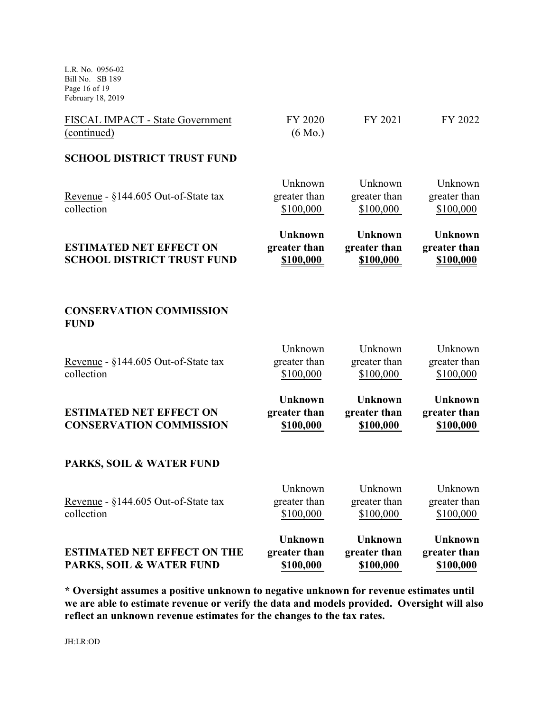L.R. No. 0956-02 Bill No. SB 189 Page 16 of 19 February 18, 2019

| FISCAL IMPACT - State Government<br>(continued)                     | FY 2020<br>$(6 \text{ Mo.})$                       | FY 2021                                            | FY 2022                                            |
|---------------------------------------------------------------------|----------------------------------------------------|----------------------------------------------------|----------------------------------------------------|
| <b>SCHOOL DISTRICT TRUST FUND</b>                                   |                                                    |                                                    |                                                    |
| Revenue - §144.605 Out-of-State tax<br>collection                   | Unknown<br>greater than<br>\$100,000               | Unknown<br>greater than<br>\$100,000               | Unknown<br>greater than<br>\$100,000               |
| <b>ESTIMATED NET EFFECT ON</b><br><b>SCHOOL DISTRICT TRUST FUND</b> | <b>Unknown</b><br>greater than<br>\$100,000        | <b>Unknown</b><br>greater than<br>\$100,000        | <b>Unknown</b><br>greater than<br>\$100,000        |
| <b>CONSERVATION COMMISSION</b><br><b>FUND</b>                       |                                                    |                                                    |                                                    |
| Revenue - §144.605 Out-of-State tax<br>collection                   | Unknown<br>greater than<br>\$100,000               | Unknown<br>greater than<br>\$100,000               | Unknown<br>greater than<br>\$100,000               |
| <b>ESTIMATED NET EFFECT ON</b><br><b>CONSERVATION COMMISSION</b>    | <b>Unknown</b><br>greater than<br><u>\$100,000</u> | <b>Unknown</b><br>greater than<br><b>\$100,000</b> | <b>Unknown</b><br>greater than<br><u>\$100,000</u> |
| PARKS, SOIL & WATER FUND                                            |                                                    |                                                    |                                                    |
| Revenue - §144.605 Out-of-State tax<br>collection                   | Unknown<br>greater than<br>\$100,000               | Unknown<br>greater than<br>\$100,000               | Unknown<br>greater than<br>\$100,000               |
| <b>ESTIMATED NET EFFECT ON THE</b><br>PARKS, SOIL & WATER FUND      | <b>Unknown</b><br>greater than<br>\$100,000        | <b>Unknown</b><br>greater than<br>\$100,000        | <b>Unknown</b><br>greater than<br>\$100,000        |

**\* Oversight assumes a positive unknown to negative unknown for revenue estimates until we are able to estimate revenue or verify the data and models provided. Oversight will also reflect an unknown revenue estimates for the changes to the tax rates.**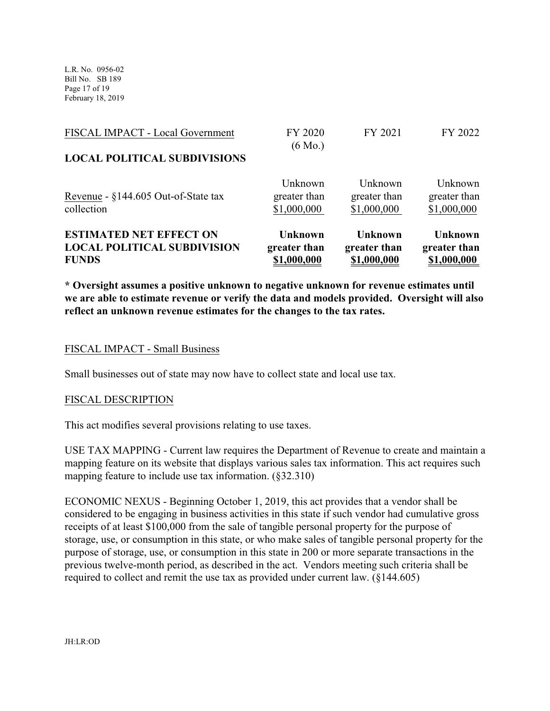L.R. No. 0956-02 Bill No. SB 189 Page 17 of 19 February 18, 2019

| \$1,000,000 | Unknown<br>greater than<br>\$1,000,000                                                            |
|-------------|---------------------------------------------------------------------------------------------------|
| FY 2021     | FY 2022                                                                                           |
|             | FY 2020<br>$(6 \text{ Mo.})$<br>Unknown<br>Unknown<br>greater than<br>greater than<br>\$1,000,000 |

**\* Oversight assumes a positive unknown to negative unknown for revenue estimates until we are able to estimate revenue or verify the data and models provided. Oversight will also reflect an unknown revenue estimates for the changes to the tax rates.**

#### FISCAL IMPACT - Small Business

Small businesses out of state may now have to collect state and local use tax.

#### FISCAL DESCRIPTION

This act modifies several provisions relating to use taxes.

USE TAX MAPPING - Current law requires the Department of Revenue to create and maintain a mapping feature on its website that displays various sales tax information. This act requires such mapping feature to include use tax information. (§32.310)

ECONOMIC NEXUS - Beginning October 1, 2019, this act provides that a vendor shall be considered to be engaging in business activities in this state if such vendor had cumulative gross receipts of at least \$100,000 from the sale of tangible personal property for the purpose of storage, use, or consumption in this state, or who make sales of tangible personal property for the purpose of storage, use, or consumption in this state in 200 or more separate transactions in the previous twelve-month period, as described in the act. Vendors meeting such criteria shall be required to collect and remit the use tax as provided under current law. (§144.605)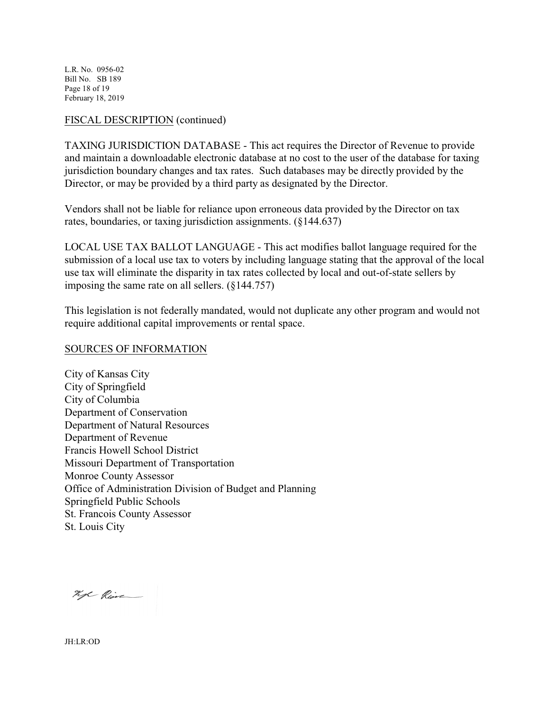L.R. No. 0956-02 Bill No. SB 189 Page 18 of 19 February 18, 2019

### FISCAL DESCRIPTION (continued)

TAXING JURISDICTION DATABASE - This act requires the Director of Revenue to provide and maintain a downloadable electronic database at no cost to the user of the database for taxing jurisdiction boundary changes and tax rates. Such databases may be directly provided by the Director, or may be provided by a third party as designated by the Director.

Vendors shall not be liable for reliance upon erroneous data provided by the Director on tax rates, boundaries, or taxing jurisdiction assignments. (§144.637)

LOCAL USE TAX BALLOT LANGUAGE - This act modifies ballot language required for the submission of a local use tax to voters by including language stating that the approval of the local use tax will eliminate the disparity in tax rates collected by local and out-of-state sellers by imposing the same rate on all sellers. (§144.757)

This legislation is not federally mandated, would not duplicate any other program and would not require additional capital improvements or rental space.

#### SOURCES OF INFORMATION

City of Kansas City City of Springfield City of Columbia Department of Conservation Department of Natural Resources Department of Revenue Francis Howell School District Missouri Department of Transportation Monroe County Assessor Office of Administration Division of Budget and Planning Springfield Public Schools St. Francois County Assessor St. Louis City

Kyl Rive

JH:LR:OD